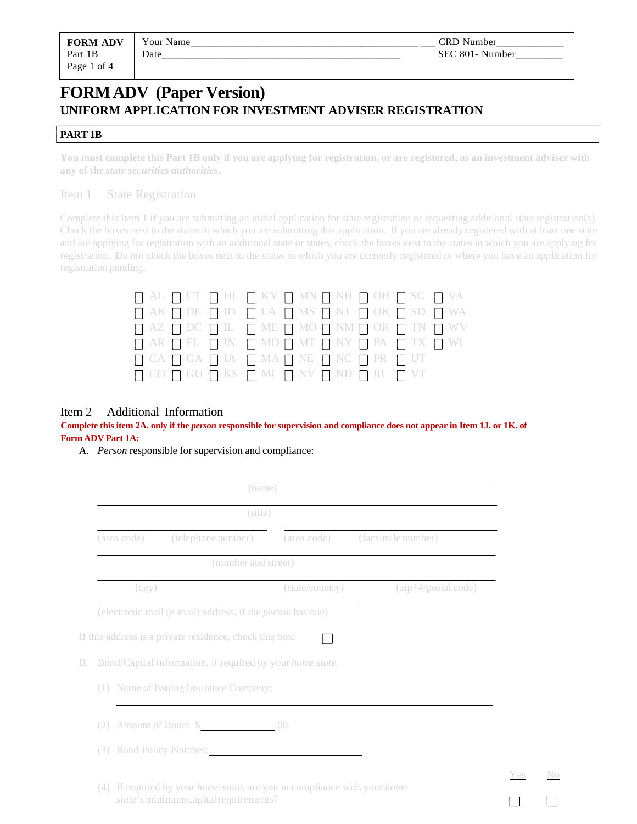| <b>FORM ADV</b> | <b>Your Name</b> | 'R L'<br>√umber               |
|-----------------|------------------|-------------------------------|
| Part 1B         | Date             | -801-<br><b>SEC</b><br>Number |
| Page 1 of 4     |                  |                               |

# **FORM ADV (Paper Version) UNIFORM APPLICATION FOR INVESTMENT ADVISER REGISTRATION**

### **PART 1B**

**You must complete this Part 1B only if you are applying for registration, or are registered, as an investment adviser with any of the** *state securities authorities***.** 

Item 1 State Registration

Complete this Item 1 if you are submitting an initial application for state registration or requesting additional state registration(s). Check the boxes next to the states to which you are submitting this application. If you are already registered with at least one state and are applying for registration with an additional state or states, check the boxes next to the states in which you are applying for registration. Do not check the boxes next to the states in which you are currently registered or where you have an application for registration pending.

| $\Box$ AL $\Box$ CT $\Box$ HI $\Box$ KY $\Box$ MN $\Box$ NH $\Box$ OH $\Box$ SC $\Box$ VA |  |  |  |  |  |  |  |  |
|-------------------------------------------------------------------------------------------|--|--|--|--|--|--|--|--|
| $\Box$ AK $\Box$ DE $\Box$ ID $\Box$ LA $\Box$ MS $\Box$ NJ $\Box$ OK $\Box$ SD $\Box$ WA |  |  |  |  |  |  |  |  |
| $\Box$ AZ $\Box$ DC $\Box$ L $\Box$ ME $\Box$ MO $\Box$ NM $\Box$ OR $\Box$ TN $\Box$ WV  |  |  |  |  |  |  |  |  |
| $\Box$ AR $\Box$ FL $\Box$ IN $\Box$ MD $\Box$ MT $\Box$ NY $\Box$ PA $\Box$ TX $\Box$ WI |  |  |  |  |  |  |  |  |
| $\Box$ CA $\Box$ GA $\Box$ IA $\Box$ MA $\Box$ NE $\Box$ NC $\Box$ PR $\Box$ UT           |  |  |  |  |  |  |  |  |
| $\Box$ CO $\Box$ GU $\Box$ KS $\Box$ MI $\Box$ NV $\Box$ ND $\Box$ RI $\Box$ VT           |  |  |  |  |  |  |  |  |

#### Item 2 Additional Information

 **Complete this item 2A. only if the** *person* **responsible for supervision and compliance does not appear in Item 1J. or 1K. of Form ADV Part 1A:**

A. *Person* responsible for supervision and compliance:

|             |                                                                                                                                  | (name)              |                     |  |
|-------------|----------------------------------------------------------------------------------------------------------------------------------|---------------------|---------------------|--|
|             |                                                                                                                                  | (title)             |                     |  |
| (area code) | (telephone number)                                                                                                               | (area code)         | (facsimile number)  |  |
|             |                                                                                                                                  | (number and street) |                     |  |
|             | (city)                                                                                                                           | (state/country)     | (zip+4/postal code) |  |
|             | (electronic mail (e-mail) address, if the <i>person</i> has one)                                                                 |                     |                     |  |
| В.          | If this address is a private residence, check this box:<br>Bond/Capital Information, if required by your home state.             |                     |                     |  |
|             | (1) Name of Issuing Insurance Company:                                                                                           |                     |                     |  |
|             | (2) Amount of Bond: \$ ____________.00                                                                                           |                     |                     |  |
|             | (3) Bond Policy Number:                                                                                                          |                     |                     |  |
|             | (4) If required by your <i>home state</i> , are you in compliance with your <i>home</i><br>state's minimum capital requirements? |                     |                     |  |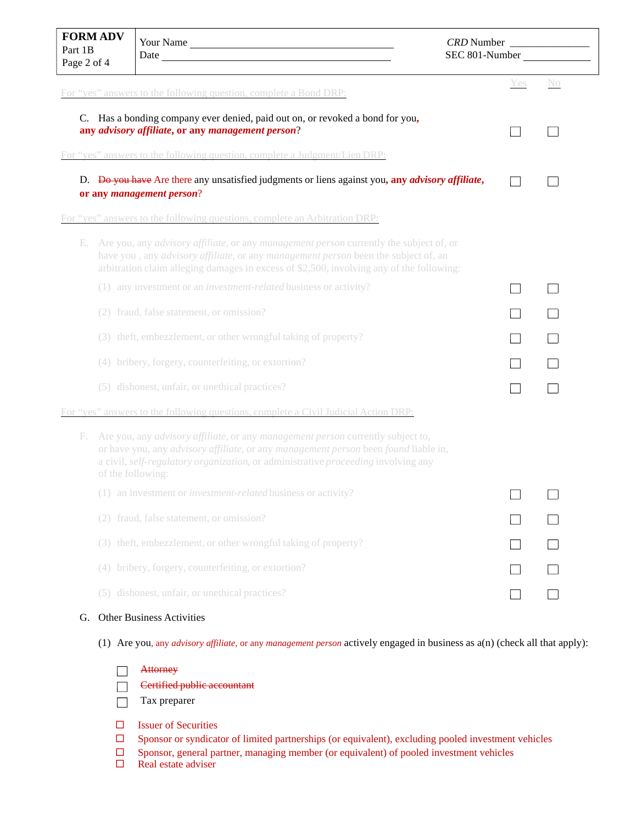| <b>FORM ADV</b><br>Part 1B<br>Page 2 of 4 | Your Name                                                                                                                                                                                                                                                                                  | SEC 801-Number |                |
|-------------------------------------------|--------------------------------------------------------------------------------------------------------------------------------------------------------------------------------------------------------------------------------------------------------------------------------------------|----------------|----------------|
|                                           | For "yes" answers to the following question, complete a Bond DRP:                                                                                                                                                                                                                          | Yes            | N <sub>0</sub> |
|                                           | C. Has a bonding company ever denied, paid out on, or revoked a bond for you,<br>any advisory affiliate, or any management person?                                                                                                                                                         |                |                |
|                                           | For "yes" answers to the following question, complete a Judgment/Lien DRP:                                                                                                                                                                                                                 |                |                |
|                                           | D. <del>Do you have</del> Are there any unsatisfied judgments or liens against you, any <i>advisory affiliate</i> ,<br>or any management person?                                                                                                                                           |                |                |
|                                           | For "yes" answers to the following questions, complete an Arbitration DRP:                                                                                                                                                                                                                 |                |                |
|                                           | E. Are you, any advisory affiliate, or any management person currently the subject of, or<br>have you, any <i>advisory affiliate</i> , or any <i>management person</i> been the subject of, an<br>arbitration claim alleging damages in excess of \$2,500, involving any of the following: |                |                |
|                                           | (1) any investment or an <i>investment-related</i> business or activity?                                                                                                                                                                                                                   | $\sim$         |                |
|                                           | (2) fraud, false statement, or omission?                                                                                                                                                                                                                                                   |                |                |
|                                           | (3) theft, embezzlement, or other wrongful taking of property?                                                                                                                                                                                                                             |                |                |
|                                           | (4) bribery, forgery, counterfeiting, or extortion?                                                                                                                                                                                                                                        |                |                |
|                                           | (5) dishonest, unfair, or unethical practices?                                                                                                                                                                                                                                             |                |                |
|                                           | For "yes" answers to the following questions, complete a Civil Judicial Action DRP:                                                                                                                                                                                                        |                |                |
|                                           | F. Are you, any advisory affiliate, or any management person currently subject to,<br>or have you, any advisory affiliate, or any management person been found liable in,<br>a civil, self-regulatory organization, or administrative proceeding involving any<br>of the following:        |                |                |
|                                           | (1) an investment or <i>investment-related</i> business or activity?                                                                                                                                                                                                                       |                |                |
|                                           | (2) fraud, false statement, or omission?                                                                                                                                                                                                                                                   |                |                |
|                                           | (3) theft, embezzlement, or other wrongful taking of property?                                                                                                                                                                                                                             |                |                |
|                                           | (4) bribery, forgery, counterfeiting, or extortion?                                                                                                                                                                                                                                        |                |                |
|                                           | (5) dishonest, unfair, or unethical practices?                                                                                                                                                                                                                                             |                |                |

#### G. Other Business Activities

- (1) Are you, any *advisory affiliate*, or any *management person* actively engaged in business as a(n) (check all that apply):
	- **Attorney**  $\perp$
	- Certified public accountant  $\Box$
	- Tax preparer  $\Box$
	- $\Box$  Issuer of Securities
	- □ Sponsor or syndicator of limited partnerships (or equivalent), excluding pooled investment vehicles
	- $\square$  Sponsor, general partner, managing member (or equivalent) of pooled investment vehicles
	- $\Box$  Real estate adviser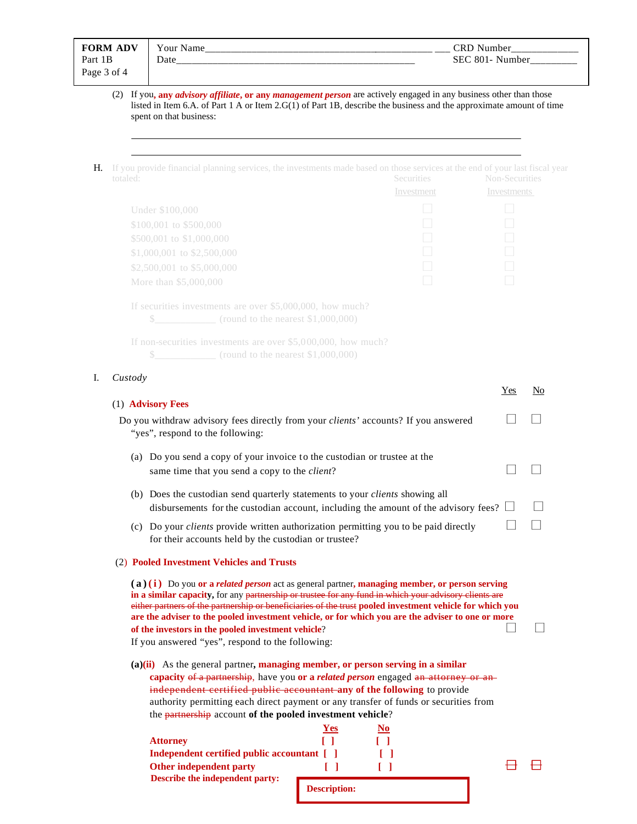| <b>FORM ADV</b> | our Name | Number<br>CRD                          |
|-----------------|----------|----------------------------------------|
| Part 1B         | Date     | SEC<br>$801 -$<br>Number<br>__________ |
| Page 3 of 4     |          |                                        |

- (2) If you**, any** *advisory affiliate***, or any** *management person* are actively engaged in any business other than those listed in Item 6.A. of Part 1 A or Item 2.G(1) of Part 1B, describe the business and the approximate amount of time spent on that business:
- **H.** If you provide financial planning services, the investments made based on those services at the end of your last fiscal year totaled: Securities Non-Securities

| totaled:                                                                                                                                                                                                                                                                                                                                                                                                                                                                                                                                         | Securities | Non-Securities |
|--------------------------------------------------------------------------------------------------------------------------------------------------------------------------------------------------------------------------------------------------------------------------------------------------------------------------------------------------------------------------------------------------------------------------------------------------------------------------------------------------------------------------------------------------|------------|----------------|
|                                                                                                                                                                                                                                                                                                                                                                                                                                                                                                                                                  | Investment | Investments    |
| Under \$100,000                                                                                                                                                                                                                                                                                                                                                                                                                                                                                                                                  |            | m.             |
|                                                                                                                                                                                                                                                                                                                                                                                                                                                                                                                                                  | L.         | e i            |
| \$100,001 to \$500,000                                                                                                                                                                                                                                                                                                                                                                                                                                                                                                                           |            |                |
| \$500,001 to \$1,000,000                                                                                                                                                                                                                                                                                                                                                                                                                                                                                                                         |            |                |
| $$1,000,001$ to $$2,500,000$                                                                                                                                                                                                                                                                                                                                                                                                                                                                                                                     |            | a l            |
| \$2,500,001 to \$5,000,000                                                                                                                                                                                                                                                                                                                                                                                                                                                                                                                       |            |                |
| More than \$5,000,000                                                                                                                                                                                                                                                                                                                                                                                                                                                                                                                            |            |                |
| If securities investments are over \$5,000,000, how much?<br>$\frac{1}{2}$ (round to the nearest \$1,000,000)                                                                                                                                                                                                                                                                                                                                                                                                                                    |            |                |
| If non-securities investments are over \$5,000,000, how much?<br>$\frac{\text{S}}{\text{S}}$ (round to the nearest \$1,000,000)                                                                                                                                                                                                                                                                                                                                                                                                                  |            |                |
| I.<br>Custody                                                                                                                                                                                                                                                                                                                                                                                                                                                                                                                                    |            |                |
| (1) Advisory Fees                                                                                                                                                                                                                                                                                                                                                                                                                                                                                                                                |            | Yes<br>No      |
| Do you withdraw advisory fees directly from your <i>clients'</i> accounts? If you answered<br>"yes", respond to the following:                                                                                                                                                                                                                                                                                                                                                                                                                   |            |                |
| (a) Do you send a copy of your invoice to the custodian or trustee at the<br>same time that you send a copy to the <i>client</i> ?                                                                                                                                                                                                                                                                                                                                                                                                               |            |                |
| (b) Does the custodian send quarterly statements to your <i>clients</i> showing all<br>disbursements for the custodian account, including the amount of the advisory fees? $\Box$                                                                                                                                                                                                                                                                                                                                                                |            |                |
| (c) Do your <i>clients</i> provide written authorization permitting you to be paid directly<br>for their accounts held by the custodian or trustee?                                                                                                                                                                                                                                                                                                                                                                                              |            |                |
| (2) Pooled Investment Vehicles and Trusts                                                                                                                                                                                                                                                                                                                                                                                                                                                                                                        |            |                |
| $(a)(i)$ Do you or a <i>related person</i> act as general partner, <b>managing member, or person serving</b><br>in a similar capacity, for any partnership or trustee for any fund in which your advisory clients are<br>either partners of the partnership or beneficiaries of the trust pooled investment vehicle for which you<br>are the adviser to the pooled investment vehicle, or for which you are the adviser to one or more<br>of the investors in the pooled investment vehicle?<br>If you answered "yes", respond to the following: |            |                |
| $(a)(ii)$ As the general partner, managing member, or person serving in a similar<br>capacity of a partnership, have you or a related person engaged an attorney or an-<br>independent certified public accountant any of the following to provide<br>authority permitting each direct payment or any transfer of funds or securities from<br>the partnership account of the pooled investment vehicle?                                                                                                                                          |            |                |
| <u>Yes</u><br>$\Box$<br><b>Attorney</b>                                                                                                                                                                                                                                                                                                                                                                                                                                                                                                          | No<br>ΓI   |                |
| Independent certified public accountant [ ]                                                                                                                                                                                                                                                                                                                                                                                                                                                                                                      |            |                |
| <b>Other independent party</b><br>$\Box$                                                                                                                                                                                                                                                                                                                                                                                                                                                                                                         | $\Box$     |                |
| Describe the independent party:                                                                                                                                                                                                                                                                                                                                                                                                                                                                                                                  |            |                |
| <b>Description:</b>                                                                                                                                                                                                                                                                                                                                                                                                                                                                                                                              |            |                |

I. *Custody*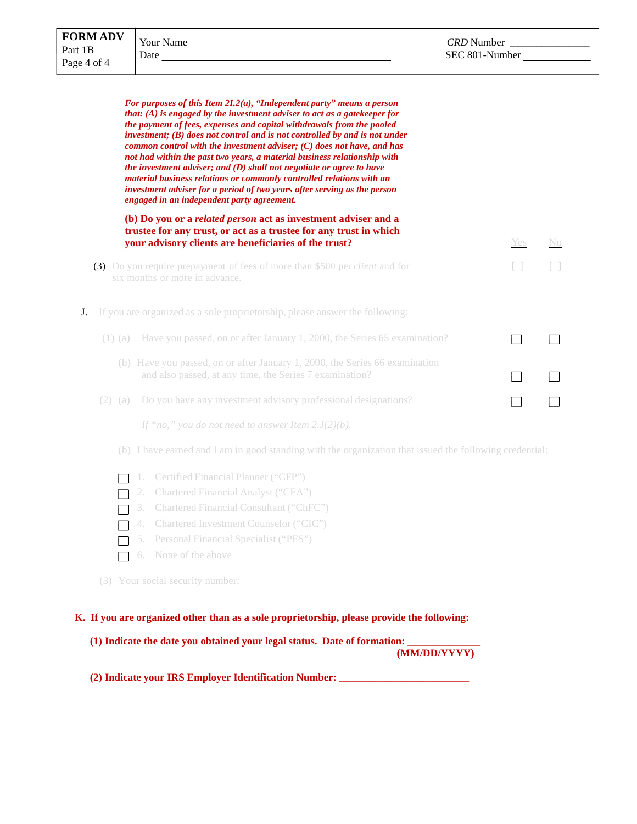Yes No

 $\Box$ 

 $\Box$ 

 $\Box$ 

 $\Box$ 

*For purposes of this Item 2I.2(a), "Independent party" means a person that: (A) is engaged by the investment adviser to act as a gatekeeper for the payment of fees, expenses and capital withdrawals from the pooled investment; (B) does not control and is not controlled by and is not under common control with the investment adviser; (C) does not have, and has not had within the past two years, a material business relationship with the investment adviser; and (D) shall not negotiate or agree to have material business relations or commonly controlled relations with an investment adviser for a period of two years after serving as the person engaged in an independent party agreement.*

**(b) Do you or a** *related person* **act as investment adviser and a trustee for any trust, or act as a trustee for any trust in which your advisory clients are beneficiaries of the trust?** 

- (3) Do you require prepayment of fees of more than \$500 per *client* and for
- J. If you are organized as a sole proprietorship, please answer the following:
	- (1) (a) Have you passed, on or after January 1, 2000, the Series 65 examination?  $\Box$  $\Box$ (b) Have you passed, on or after January 1, 2000, the Series 66 examination and also passed, at any time, the Series 7 examination?
	- (2) (a) Do you have any investment advisory professional designations?

*If "no," you do not need to answer Item 2.J(2)(b).*

- (b) I have earned and I am in good standing with the organization that issued the following credential:
- 1. Certified Financial Planner ("CFP")
- 2. Chartered Financial Analyst ("CFA")
- 3. Chartered Financial Consultant ("ChFC")
	- 4. Chartered Investment Counselor ("CIC")
	- 5. Personal Financial Specialist ("PFS")
- □ 6. None of the above

#### **K. If you are organized other than as a sole proprietorship, please provide the following:**

(1) Indicate the date you obtained your legal status. Date of formation:

 **(MM/DD/YYYY)** 

 **(2) Indicate your IRS Employer Identification Number: \_\_\_\_\_\_\_\_\_\_\_\_\_\_\_\_\_\_\_\_\_\_\_\_\_** 

<sup>(3)</sup> Your social security number: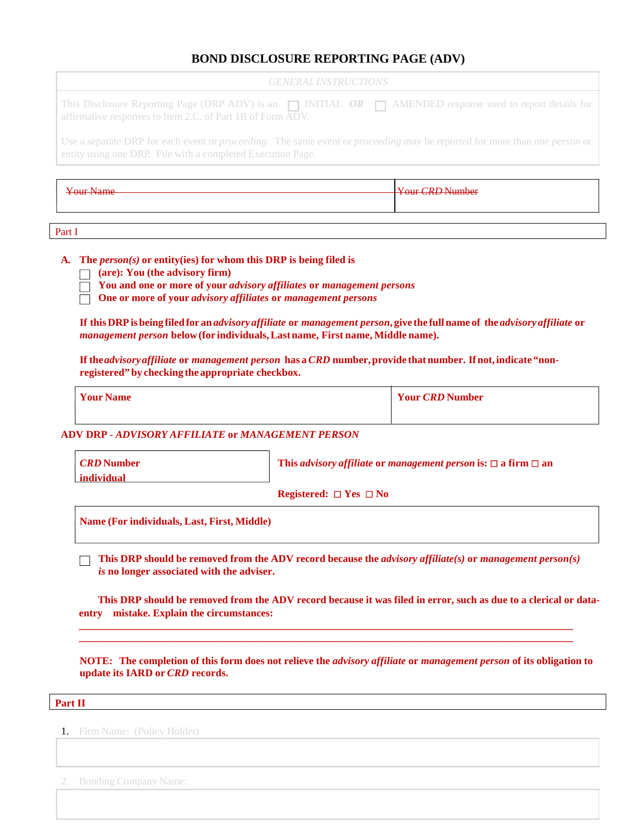## **BOND DISCLOSURE REPORTING PAGE (ADV)**

| <b>GENERAL INSTRUCTIONS</b>                                                                                                                                                                                    |  |  |  |  |  |
|----------------------------------------------------------------------------------------------------------------------------------------------------------------------------------------------------------------|--|--|--|--|--|
| This Disclosure Reporting Page (DRP ADV) is an $\Box$ INITIAL OR $\Box$ AMENDED response used to report details for<br>affirmative responses to Item 2.C. of Part 1B of Form ADV.                              |  |  |  |  |  |
| Use a separate DRP for each event or <i>proceeding</i> . The same event or <i>proceeding</i> may be reported for more than one <i>person</i> or<br>entity using one DRP. File with a completed Execution Page. |  |  |  |  |  |
| $V_{\text{out}}$ CDD Number<br><b>Your Name</b>                                                                                                                                                                |  |  |  |  |  |
| Part I                                                                                                                                                                                                         |  |  |  |  |  |

#### **A. The** *person(s)* **or entity(ies) for whom this DRP is being filed is**

- **(are): You (the advisory firm)**
- **You and one or more of your** *advisory affiliates* **or** *management persons*
- **One or more of your** *advisory affiliates* **or** *management persons*

**If this DRP is being filed for an** *advisory affiliate* **or** *management person***, give the full name of the** *advisory affiliate* **or**  *management person* **below (for individuals, Last name, First name, Middle name).** 

**If the** *advisory affiliate* **or** *management person* **has a** *CRD* **number, provide that number. If not, indicate "nonregistered" by checking the appropriate checkbox.** 

| Your Name | <b>Your CRD Number</b> |
|-----------|------------------------|
|           |                        |

#### **ADV DRP -** *ADVISORY AFFILIATE* **or** *MANAGEMENT PERSON*

| <i>CRD</i> Number | This advisory affiliate or management person is: $\square$ a firm $\square$ an |
|-------------------|--------------------------------------------------------------------------------|
| individual        |                                                                                |
|                   | Registered: $\Box$ Yes $\Box$ No                                               |

**Name (For individuals, Last, First, Middle)** 

**This DRP should be removed from the ADV record because the** *advisory affiliate(s)* **or** *management person(s) is* **no longer associated with the adviser.** 

 **This DRP should be removed from the ADV record because it was filed in error, such as due to a clerical or dataentry mistake. Explain the circumstances:** 

**\_\_\_\_\_\_\_\_\_\_\_\_\_\_\_\_\_\_\_\_\_\_\_\_\_\_\_\_\_\_\_\_\_\_\_\_\_\_\_\_\_\_\_\_\_\_\_\_\_\_\_\_\_\_\_\_\_\_\_\_\_\_\_\_\_\_\_\_\_\_\_\_\_\_\_\_\_\_\_\_\_\_\_\_\_\_\_\_\_\_\_\_\_\_\_ \_\_\_\_\_\_\_\_\_\_\_\_\_\_\_\_\_\_\_\_\_\_\_\_\_\_\_\_\_\_\_\_\_\_\_\_\_\_\_\_\_\_\_\_\_\_\_\_\_\_\_\_\_\_\_\_\_\_\_\_\_\_\_\_\_\_\_\_\_\_\_\_\_\_\_\_\_\_\_\_\_\_\_\_\_\_\_\_\_\_\_\_\_\_\_** 

**NOTE: The completion of this form does not relieve the** *advisory affiliate* **or** *management person* **of its obligation to update its IARD or** *CRD* **records.** 

#### **Part II**

1. Firm Name: (Policy Holder)

2. Bonding Company Name: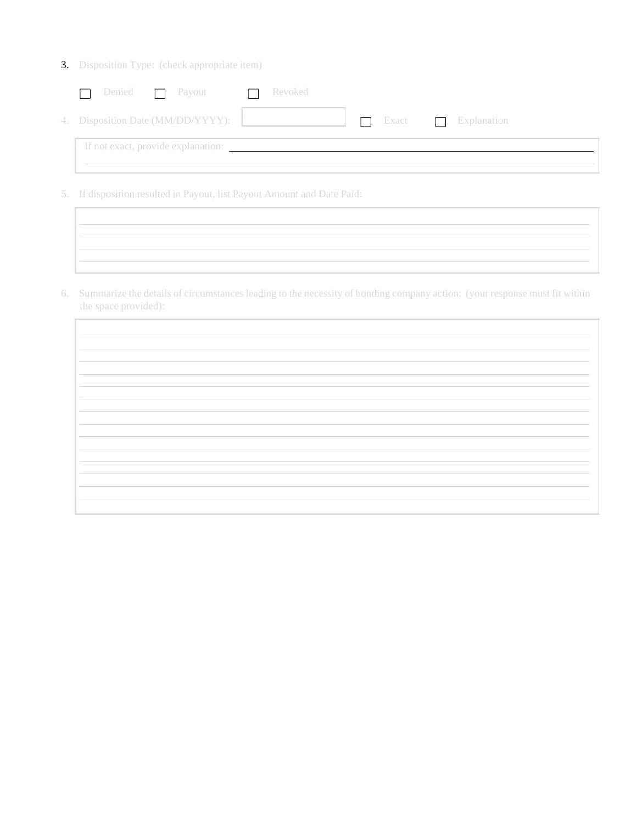3. Disposition Type: (check appropriate item)

| Denied Payout Revoked              |  |                                 |  |
|------------------------------------|--|---------------------------------|--|
| 4. Disposition Date (MM/DD/YYYY):  |  | $\Box$ Exact $\Box$ Explanation |  |
| If not exact, provide explanation: |  |                                 |  |

5. If disposition resulted in Payout, list Payout Amount and Date Paid:

6. Summarize the details of circumstances leading to the necessity of bonding company action: (your response must fit within the space provided):

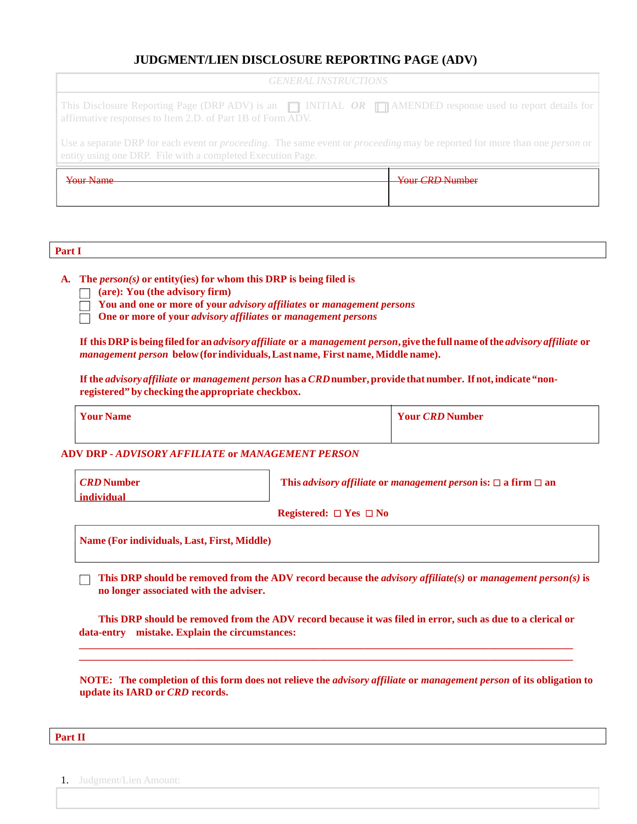## **JUDGMENT/LIEN DISCLOSURE REPORTING PAGE (ADV)**

| <b>GENERAL INSTRUCTIONS</b>                                                                                                                                                                                    |                 |  |  |  |  |
|----------------------------------------------------------------------------------------------------------------------------------------------------------------------------------------------------------------|-----------------|--|--|--|--|
| This Disclosure Reporting Page (DRP ADV) is an <b>IMITIAL OR IMENDED</b> response used to report details for<br>affirmative responses to Item 2.D. of Part 1B of Form ADV.                                     |                 |  |  |  |  |
| Use a separate DRP for each event or <i>proceeding</i> . The same event or <i>proceeding</i> may be reported for more than one <i>person</i> or<br>entity using one DRP. File with a completed Execution Page. |                 |  |  |  |  |
| Your Name                                                                                                                                                                                                      | Your CRD Number |  |  |  |  |
|                                                                                                                                                                                                                |                 |  |  |  |  |

#### **Part I**

#### **A. The** *person(s)* **or entity(ies) for whom this DRP is being filed is**

- **(are): You (the advisory firm)** 
	- **You and one or more of your** *advisory affiliates* **or** *management persons*

**One or more of your** *advisory affiliates* **or** *management persons*  $\Box$ 

**If this DRP is being filed for an** *advisory affiliate* **or a** *management person***, give the full name of the** *advisory affiliate* **or**  *management person* **below (for individuals, Last name, First name, Middle name).** 

**If the** *advisory affiliate* **or** *management person* **has a** *CRD* **number, provide that number. If not, indicate "nonregistered" by checking the appropriate checkbox.** 

| <b>Your Name</b> | <b>Your CRD Number</b> |
|------------------|------------------------|
|                  |                        |

#### **ADV DRP -** *ADVISORY AFFILIATE* **or** *MANAGEMENT PERSON*

| <i>CRD</i> Number<br>  individual | This advisory affiliate or management person is: $\square$ a firm $\square$ an |
|-----------------------------------|--------------------------------------------------------------------------------|
|                                   | Registered: $\Box$ Yes $\Box$ No                                               |

**Name (For individuals, Last, First, Middle)** 

**This DRP should be removed from the ADV record because the** *advisory affiliate(s)* **or** *management person(s)* **is no longer associated with the adviser.** 

 **This DRP should be removed from the ADV record because it was filed in error, such as due to a clerical or data-entry mistake. Explain the circumstances: \_\_\_\_\_\_\_\_\_\_\_\_\_\_\_\_\_\_\_\_\_\_\_\_\_\_\_\_\_\_\_\_\_\_\_\_\_\_\_\_\_\_\_\_\_\_\_\_\_\_\_\_\_\_\_\_\_\_\_\_\_\_\_\_\_\_\_\_\_\_\_\_\_\_\_\_\_\_\_\_\_\_\_\_\_\_\_\_\_\_\_\_\_\_\_** 

**\_\_\_\_\_\_\_\_\_\_\_\_\_\_\_\_\_\_\_\_\_\_\_\_\_\_\_\_\_\_\_\_\_\_\_\_\_\_\_\_\_\_\_\_\_\_\_\_\_\_\_\_\_\_\_\_\_\_\_\_\_\_\_\_\_\_\_\_\_\_\_\_\_\_\_\_\_\_\_\_\_\_\_\_\_\_\_\_\_\_\_\_\_\_\_** 

**NOTE: The completion of this form does not relieve the** *advisory affiliate* **or** *management person* **of its obligation to update its IARD or** *CRD* **records.** 

**Part II**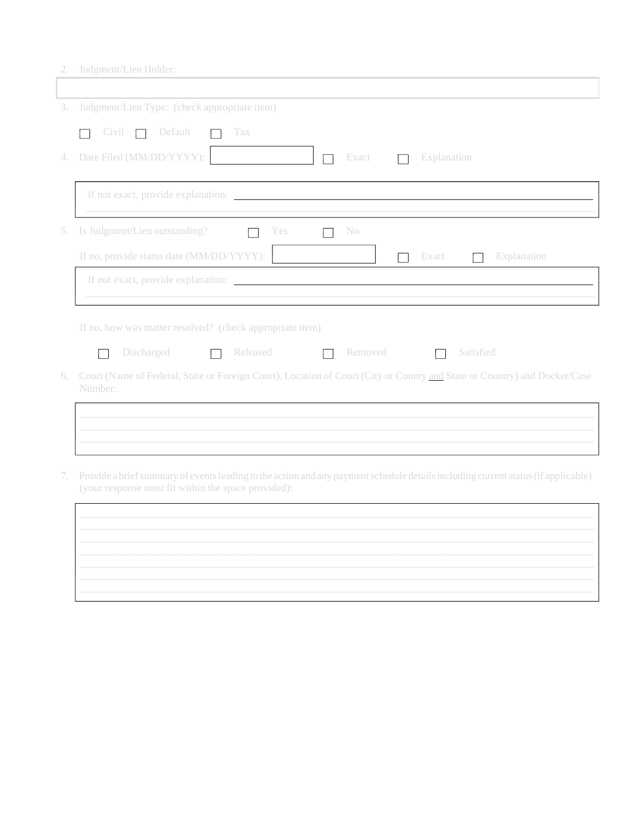|        | Judgment/Lien Holder: |
|--------|-----------------------|
| $\sim$ |                       |

| 3. | Judgment/Lien Type: (check appropriate item)                                                                                                                                             |
|----|------------------------------------------------------------------------------------------------------------------------------------------------------------------------------------------|
|    | Civil<br>Default<br>Tax                                                                                                                                                                  |
| 4. | Date Filed (MM/DD/YYYY):<br>Explanation<br>Exact                                                                                                                                         |
|    | If not exact, provide explanation:                                                                                                                                                       |
| 5. | Is Judgment/Lien outstanding?<br>N <sub>o</sub><br>Yes                                                                                                                                   |
|    | If no, provide status date (MM/DD/YYYY):<br>Explanation<br>Exact                                                                                                                         |
|    |                                                                                                                                                                                          |
|    |                                                                                                                                                                                          |
|    | If no, how was matter resolved? (check appropriate item)                                                                                                                                 |
|    | Discharged<br>Released<br>Removed<br>Satisfied                                                                                                                                           |
| 6. | Court (Name of Federal, State or Foreign Court), Location of Court (City or County and State or Country) and Docket/Case<br>Number:                                                      |
|    |                                                                                                                                                                                          |
|    |                                                                                                                                                                                          |
| 7. | Provide a brief summary of events leading to the action and any payment schedule details including current status (if applicable)<br>(your response must fit within the space provided): |
|    |                                                                                                                                                                                          |
|    |                                                                                                                                                                                          |
|    |                                                                                                                                                                                          |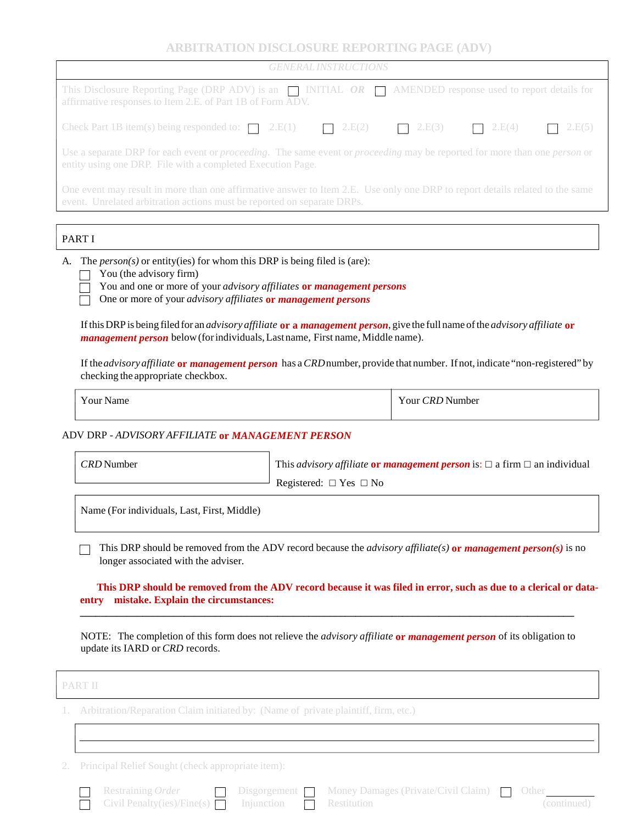## **ARBITRATION DISCLOSURE REPORTING PAGE (ADV)**

| <b>GENERAL INSTRUCTIONS</b>                                                                                                                                                                                    |
|----------------------------------------------------------------------------------------------------------------------------------------------------------------------------------------------------------------|
| This Disclosure Reporting Page (DRP ADV) is an $\Box$ INITIAL OR $\Box$ AMENDED response used to report details for<br>affirmative responses to Item 2.E. of Part 1B of Form ADV.                              |
| Check Part 1B item(s) being responded to: $\Box$ 2.E(1)<br>2.E(2)<br>2.E(3)<br>2.E(5)<br>$\Box$ 2.E(4)<br>$\mathbf{1}$<br>$\mathbf{1}$                                                                         |
| Use a separate DRP for each event or <i>proceeding</i> . The same event or <i>proceeding</i> may be reported for more than one <i>person</i> or<br>entity using one DRP. File with a completed Execution Page. |
| One event may result in more than one affirmative answer to Item 2.E. Use only one DRP to report details related to the same<br>event. Unrelated arbitration actions must be reported on separate DRPs.        |
|                                                                                                                                                                                                                |

## PART I

A. The *person(s)* or entity(ies) for whom this DRP is being filed is (are):

 $\Box$  You (the advisory firm)

You and one or more of your *advisory affiliates* **or** *management persons*

One or more of your *advisory affiliates* **or** *management persons*  $\Box$ 

If this DRP is being filed for an *advisory affiliate* **or a** *management person*, give the full name of the *advisory affiliate* **or**  *management person* below (for individuals, Last name, First name, Middle name).

If the *advisory affiliate* **or** *management person* has a *CRD* number, provide that number. If not, indicate "non-registered" by checking the appropriate checkbox.

| Vour Name<br>$\sim$ $\sim$ $\sim$ $\sim$ | CRD Number<br>Your $C_1$ |
|------------------------------------------|--------------------------|
|                                          |                          |

#### ADV DRP - *ADVISORY AFFILIATE* **or** *MANAGEMENT PERSON*

| CRD Number | This <i>advisory affiliate</i> or <i>management person</i> is: $\square$ a firm $\square$ an individual |
|------------|---------------------------------------------------------------------------------------------------------|
|            | Registered: $\Box$ Yes $\Box$ No                                                                        |

Name (For individuals, Last, First, Middle)

This DRP should be removed from the ADV record because the *advisory affiliate(s)* or *management person(s)* is no longer associated with the adviser.

 **This DRP should be removed from the ADV record because it was filed in error, such as due to a clerical or dataentry mistake. Explain the circumstances:** 

NOTE: The completion of this form does not relieve the *advisory affiliate* **or** *management person* of its obligation to update its IARD or *CRD* records.

**\_\_\_\_\_\_\_\_\_\_\_\_\_\_\_\_\_\_\_\_\_\_\_\_\_\_\_\_\_\_\_\_\_\_\_\_\_\_\_\_\_\_\_\_\_\_\_\_\_\_\_\_\_\_\_\_\_\_\_\_\_\_\_\_\_\_\_\_\_\_\_\_\_\_\_\_\_\_\_\_\_\_\_\_\_\_\_\_\_\_\_\_\_\_\_** 

PART II

1. Arbitration/Reparation Claim initiated by: (Name of private plaintiff, firm, etc.)

2. Principal Relief Sought (check appropriate item):

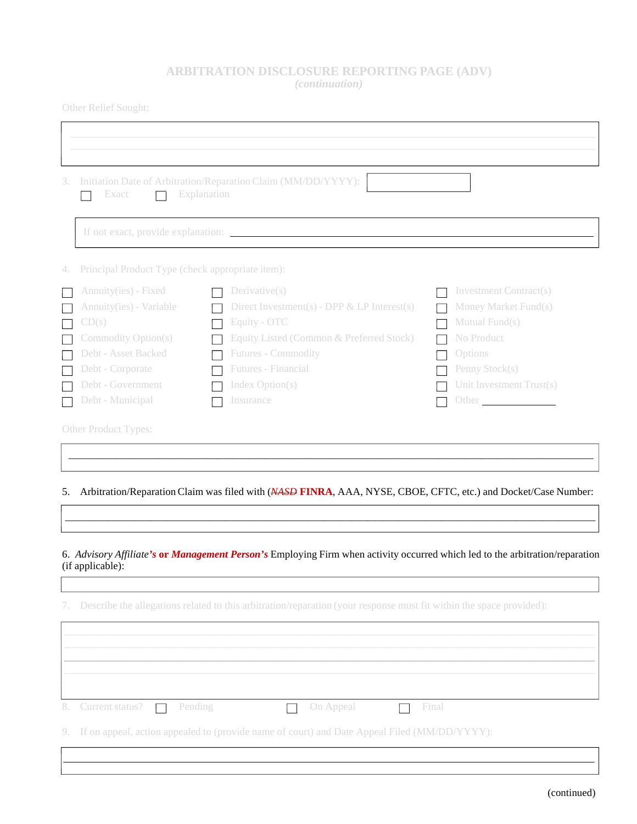## **ARBITRATION DISCLOSURE REPORTING PAGE (ADV)** *(continuation)*

Other Relief Sought:

| 3.                          | Explanation<br>Exact                                                                                                                                       | Initiation Date of Arbitration/Reparation Claim (MM/DD/YYYY):                                                                                                                                                 |                                                                                                                                                         |
|-----------------------------|------------------------------------------------------------------------------------------------------------------------------------------------------------|---------------------------------------------------------------------------------------------------------------------------------------------------------------------------------------------------------------|---------------------------------------------------------------------------------------------------------------------------------------------------------|
|                             |                                                                                                                                                            |                                                                                                                                                                                                               |                                                                                                                                                         |
| 4.                          | Principal Product Type (check appropriate item):                                                                                                           |                                                                                                                                                                                                               |                                                                                                                                                         |
| CD(s)                       | Annuity(ies) - Fixed<br>Annuity(ies) - Variable<br>Commodity Option(s)<br>Debt - Asset Backed<br>Debt - Corporate<br>Debt - Government<br>Debt - Municipal | Derivative(s)<br>Direct Investment(s) - DPP & LP Interest(s)<br>Equity - OTC<br>Equity Listed (Common & Preferred Stock)<br><b>Futures - Commodity</b><br>Futures - Financial<br>Index Option(s)<br>Insurance | <b>Investment Contract(s)</b><br>Money Market Fund(s)<br>Mutual Fund(s)<br>No Product<br>Options<br>Penny Stock(s)<br>Unit Investment Trust(s)<br>Other |
| <b>Other Product Types:</b> |                                                                                                                                                            |                                                                                                                                                                                                               |                                                                                                                                                         |
|                             |                                                                                                                                                            | 5. Arbitration/Reparation Claim was filed with (NASD FINRA, AAA, NYSE, CBOE, CFTC, etc.) and Docket/Case Number:                                                                                              |                                                                                                                                                         |
| (if applicable):            |                                                                                                                                                            | 6. Advisory Affiliate's or Management Person's Employing Firm when activity occurred which led to the arbitration/reparation                                                                                  |                                                                                                                                                         |
| 7.                          |                                                                                                                                                            | Describe the allegations related to this arbitration/reparation (your response must fit within the space provided):                                                                                           |                                                                                                                                                         |
| Current status?<br>8.       | Pending                                                                                                                                                    | On Appeal                                                                                                                                                                                                     | Final                                                                                                                                                   |

9. If on appeal, action appealed to (provide name of court) and Date Appeal Filed (MM/DD/YYYY):